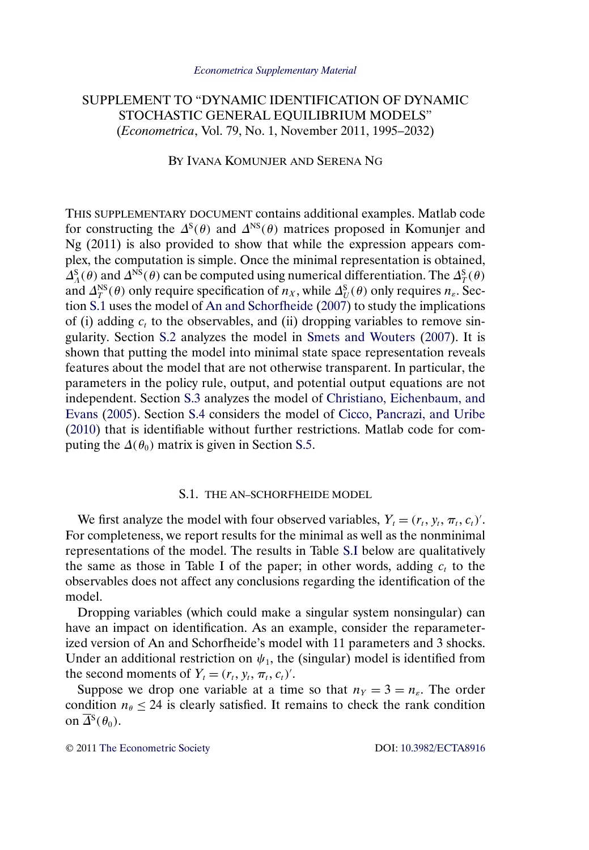# <span id="page-0-0"></span>SUPPLEMENT TO "DYNAMIC IDENTIFICATION OF DYNAMIC STOCHASTIC GENERAL EQUILIBRIUM MODELS" (*Econometrica*, Vol. 79, No. 1, November 2011, 1995–2032)

BY IVANA KOMUNJER AND SERENA NG

THIS SUPPLEMENTARY DOCUMENT contains additional examples. Matlab code for constructing the  $\Delta^{S}(\theta)$  and  $\Delta^{NS}(\theta)$  matrices proposed in Komunjer and Ng (2011) is also provided to show that while the expression appears complex, the computation is simple. Once the minimal representation is obtained,  $\Delta_A^S(\theta)$  and  $\Delta^{NS}(\theta)$  can be computed using numerical differentiation. The  $\Delta_T^S(\theta)$ and  $\Delta_T^{NS}(\theta)$  only require specification of  $n_X$ , while  $\Delta_U^{S}(\theta)$  only requires  $n_{\varepsilon}$ . Section S.1 uses the model of [An and Schorfheide](#page-11-0) [\(2007\)](#page-11-0) to study the implications of (i) adding  $c_t$  to the observables, and (ii) dropping variables to remove singularity. Section [S.2](#page-2-0) analyzes the model in [Smets and Wouters](#page-12-0) [\(2007\)](#page-12-0). It is shown that putting the model into minimal state space representation reveals features about the model that are not otherwise transparent. In particular, the parameters in the policy rule, output, and potential output equations are not independent. Section [S.3](#page-6-0) analyzes the model of [Christiano, Eichenbaum, and](#page-12-0) [Evans](#page-12-0) [\(2005\)](#page-12-0). Section [S.4](#page-7-0) considers the model of [Cicco, Pancrazi, and Uribe](#page-12-0) [\(2010\)](#page-12-0) that is identifiable without further restrictions. Matlab code for computing the  $\Delta(\theta_0)$  matrix is given in Section [S.5.](#page-9-0)

# S.1. THE AN–SCHORFHEIDE MODEL

We first analyze the model with four observed variables,  $Y_t = (r_t, y_t, \pi_t, c_t)$ . For completeness, we report results for the minimal as well as the nonminimal representations of the model. The results in Table [S.I](#page-1-0) below are qualitatively the same as those in Table I of the paper; in other words, adding  $c_t$  to the observables does not affect any conclusions regarding the identification of the model.

Dropping variables (which could make a singular system nonsingular) can have an impact on identification. As an example, consider the reparameterized version of An and Schorfheide's model with 11 parameters and 3 shocks. Under an additional restriction on  $\psi_1$ , the (singular) model is identified from the second moments of  $Y_t = (r_t, y_t, \pi_t, c_t)'$ .

Suppose we drop one variable at a time so that  $n_Y = 3 = n_{\epsilon}$ . The order condition  $n_{\theta} \leq 24$  is clearly satisfied. It remains to check the rank condition on  $\overline{\Delta}{}^S(\theta_0)$ .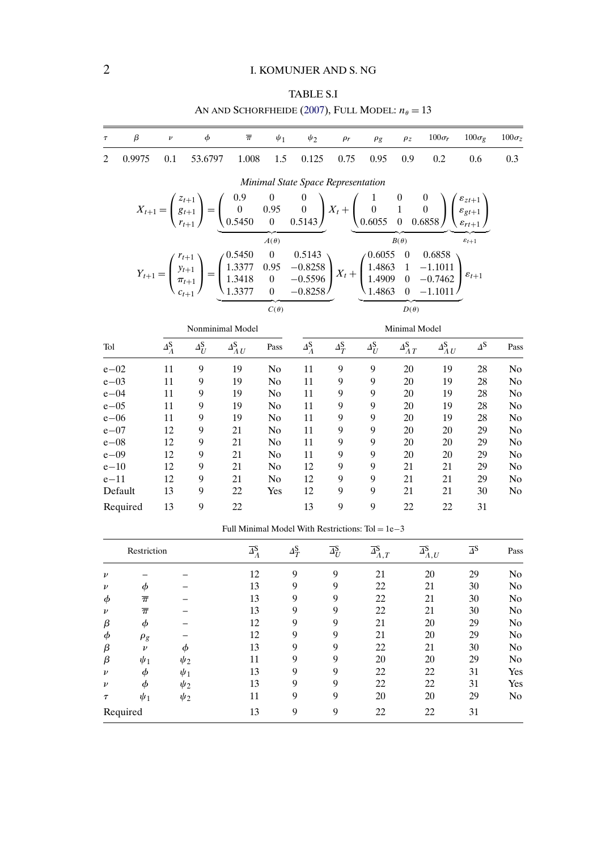# TABLE S.I

AN AND SCHORFHEIDE [\(2007\)](#page-11-0), FULL MODEL:  $n_\theta = 13$ 

<span id="page-1-0"></span>

| $\beta$<br>$\tau$        | $\nu$                   | $\phi$                                                                                                                                                                                                                                                                                                                                      | $\overline{\pi}$       | $\psi_1$       | $\psi_2$                           | $\rho_r$                | $\rho$ g           | $\rho$ z              | $100\sigma_r$                    | $100\sigma_{\varrho}$ | $100\sigma$ z  |
|--------------------------|-------------------------|---------------------------------------------------------------------------------------------------------------------------------------------------------------------------------------------------------------------------------------------------------------------------------------------------------------------------------------------|------------------------|----------------|------------------------------------|-------------------------|--------------------|-----------------------|----------------------------------|-----------------------|----------------|
|                          |                         |                                                                                                                                                                                                                                                                                                                                             |                        |                |                                    |                         |                    |                       |                                  |                       |                |
| $\overline{c}$<br>0.9975 | 0.1                     | 53.6797                                                                                                                                                                                                                                                                                                                                     | 1.008                  | 1.5            | 0.125                              | 0.75                    | 0.95               | 0.9                   | 0.2                              | 0.6                   | 0.3            |
|                          |                         |                                                                                                                                                                                                                                                                                                                                             |                        |                | Minimal State Space Representation |                         |                    |                       |                                  |                       |                |
|                          |                         | $X_{t+1} = \begin{pmatrix} z_{t+1} \\ g_{t+1} \\ r_{t+1} \end{pmatrix} = \begin{pmatrix} 0.9 & 0 & 0 \\ 0 & 0.95 & 0 \\ 0.5450 & 0 & 0.5143 \end{pmatrix} X_t + \begin{pmatrix} 1 & 0 & 0 \\ 0 & 1 & 0 \\ 0.6055 & 0 & 0.6858 \end{pmatrix} \begin{pmatrix} \varepsilon_{z,t+1} \\ \varepsilon_{gt+1} \\ \varepsilon_{r,t+1} \end{pmatrix}$ |                        |                |                                    |                         |                    |                       |                                  |                       |                |
|                          |                         |                                                                                                                                                                                                                                                                                                                                             |                        | $A(\theta)$    |                                    |                         |                    | $B(\theta)$           |                                  | $\varepsilon_{t+1}$   |                |
|                          |                         | $Y_{t+1} = \begin{pmatrix} r_{t+1} \\ y_{t+1} \\ \pi_{t+1} \\ c_{t+1} \end{pmatrix} = \begin{pmatrix} 0.5450 & 0 & 0.5143 \\ 1.3377 & 0.95 & -0.8258 \\ 1.3418 & 0 & -0.5596 \\ 1.3377 & 0 & -0.8258 \end{pmatrix} X_t + \begin{pmatrix} 0.6055 & 0 & 0.6858 \\ 1.4863 & 1 & -1.1011 \\ 1.4909 & 0 & -0.7462 \\ 1.4863 & 0 & -1.10$         |                        |                |                                    |                         |                    |                       |                                  |                       |                |
|                          |                         |                                                                                                                                                                                                                                                                                                                                             |                        | $C(\theta)$    |                                    |                         |                    | $D(\theta)$           |                                  |                       |                |
|                          |                         | Nonminimal Model                                                                                                                                                                                                                                                                                                                            |                        |                |                                    |                         |                    | Minimal Model         |                                  |                       |                |
| Tol                      | $\Delta_A^{\mathbf{S}}$ | $\Delta_U^{\rm S}$                                                                                                                                                                                                                                                                                                                          | $\Delta_{A U}^{\rm S}$ | Pass           | $\Delta_A^{\mathbf{S}}$            | $\Delta_T^{\mathbf{S}}$ | $\Delta_U^{\rm S}$ | $\Delta_{AT}^{\rm S}$ | $\varDelta_{\Lambda\,U}^{\rm S}$ | $\Delta$ S            | Pass           |
| $e - 02$                 | 11                      | 9                                                                                                                                                                                                                                                                                                                                           | 19                     | N <sub>0</sub> | 11                                 | 9                       | 9                  | 20                    | 19                               | 28                    | N <sub>0</sub> |
| $e - 03$                 | 11                      | 9                                                                                                                                                                                                                                                                                                                                           | 19                     | N <sub>0</sub> | 11                                 | 9                       | 9                  | 20                    | 19                               | 28                    | No             |
| $e - 04$                 | 11                      | 9                                                                                                                                                                                                                                                                                                                                           | 19                     | N <sub>0</sub> | 11                                 | 9                       | 9                  | 20                    | 19                               | 28                    | No             |
| $e - 05$                 | 11                      | 9                                                                                                                                                                                                                                                                                                                                           | 19                     | N <sub>0</sub> | 11                                 | 9                       | 9                  | 20                    | 19                               | 28                    | No             |
| $e - 06$                 | 11                      | 9                                                                                                                                                                                                                                                                                                                                           | 19                     | No             | 11                                 | 9                       | 9                  | 20                    | 19                               | 28                    | No             |
| $e - 07$                 | 12                      | 9                                                                                                                                                                                                                                                                                                                                           | 21                     | N <sub>0</sub> | 11                                 | 9                       | 9                  | 20                    | 20                               | 29                    | No             |
| $e - 08$                 | 12                      | 9                                                                                                                                                                                                                                                                                                                                           | 21                     | N <sub>0</sub> | 11                                 | 9                       | 9                  | 20                    | 20                               | 29                    | No             |
| $e - 09$                 | 12                      | 9                                                                                                                                                                                                                                                                                                                                           | 21                     | No             | 11                                 | 9                       | 9                  | 20                    | 20                               | 29                    | No             |
| $e - 10$                 | 12                      | 9                                                                                                                                                                                                                                                                                                                                           | 21                     | N <sub>0</sub> | 12                                 | 9                       | 9                  | 21                    | 21                               | 29                    | No             |
| $e-11$                   | 12                      | 9                                                                                                                                                                                                                                                                                                                                           | 21                     | No             | 12                                 | 9                       | 9                  | 21                    | 21                               | 29                    | No             |
| Default                  | 13                      | 9                                                                                                                                                                                                                                                                                                                                           | 22                     | Yes            | 12                                 | 9                       | 9                  | 21                    | 21                               | 30                    | No             |
| Required                 | 13                      | 9                                                                                                                                                                                                                                                                                                                                           | 22                     |                | 13                                 | 9                       | 9                  | 22                    | 22                               | 31                    |                |

Full Minimal Model With Restrictions:  $Tol = 1e-3$ 

|                    | Restriction        |          | $\overline{\Delta}_{A}^{\mathbf{S}}$ | $\Delta_T^{\mathbf{S}}$ | $\overline{\varDelta_U^{\rm S}}$ | $\overline{\Delta}^{\mathbf{S}}_{A,T}$ | $\overline{\varDelta}^{\mathbf{S}}_{A,U}$ | $\overline{\varDelta}{}^{\mathbf{S}}$ | Pass           |
|--------------------|--------------------|----------|--------------------------------------|-------------------------|----------------------------------|----------------------------------------|-------------------------------------------|---------------------------------------|----------------|
| $\boldsymbol{\nu}$ |                    |          | 12                                   | 9                       | 9                                | 21                                     | 20                                        | 29                                    | No             |
| $\nu$              | Φ                  |          | 13                                   | 9                       | 9                                | 22                                     | 21                                        | 30                                    | No             |
| $\phi$             | $\overline{\pi}$   |          | 13                                   | 9                       | 9                                | 22                                     | 21                                        | 30                                    | No             |
| $\nu$              | $\overline{\pi}$   |          | 13                                   | 9                       | 9                                | 22                                     | 21                                        | 30                                    | N <sub>0</sub> |
| β                  | φ                  |          | 12                                   | 9                       | 9                                | 21                                     | 20                                        | 29                                    | No             |
| $\phi$             | $\rho_g$           |          | 12                                   | 9                       | 9                                | 21                                     | 20                                        | 29                                    | No             |
| β                  | $\boldsymbol{\nu}$ | $\phi$   | 13                                   | 9                       | 9                                | 22                                     | 21                                        | 30                                    | No             |
| β                  | $\psi_1$           | $\psi_2$ | 11                                   | 9                       | 9                                | 20                                     | 20                                        | 29                                    | No             |
| $\boldsymbol{\nu}$ | Φ                  | $\psi_1$ | 13                                   | 9                       | 9                                | 22                                     | 22                                        | 31                                    | Yes            |
| $\boldsymbol{\nu}$ | Ф                  | $\psi_2$ | 13                                   | 9                       | 9                                | 22                                     | 22                                        | 31                                    | Yes            |
| $\tau$             | $\psi_1$           | $\psi_2$ | 11                                   | 9                       | 9                                | 20                                     | 20                                        | 29                                    | No             |
|                    | Required           |          | 13                                   | 9                       | 9                                | 22                                     | 22                                        | 31                                    |                |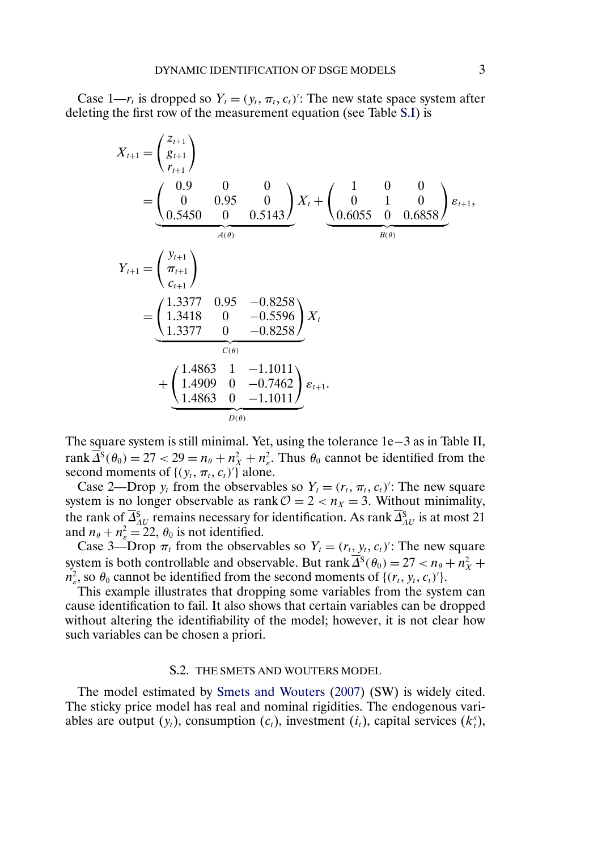<span id="page-2-0"></span>Case 1— $r_t$  is dropped so  $Y_t = (y_t, \pi_t, c_t)'$ : The new state space system after deleting the first row of the measurement equation (see Table [S.I\)](#page-1-0) is

$$
X_{t+1} = \begin{pmatrix} z_{t+1} \\ g_{t+1} \\ r_{t+1} \end{pmatrix}
$$
  
= 
$$
\begin{pmatrix} 0.9 & 0 & 0 \\ 0 & 0.95 & 0 \\ 0.5450 & 0 & 0.5143 \end{pmatrix} X_t + \begin{pmatrix} 1 & 0 & 0 \\ 0 & 1 & 0 \\ 0.6055 & 0 & 0.6858 \end{pmatrix} \varepsilon_{t+1},
$$
  

$$
Y_{t+1} = \begin{pmatrix} y_{t+1} \\ \pi_{t+1} \\ c_{t+1} \end{pmatrix}
$$
  
= 
$$
\begin{pmatrix} 1.3377 & 0.95 & -0.8258 \\ 1.3377 & 0 & -0.8258 \\ 1.3377 & 0 & -0.8258 \end{pmatrix} X_t
$$
  
+ 
$$
\begin{pmatrix} 1.4863 & 1 & -1.1011 \\ 1.4909 & 0 & -0.7462 \\ 1.4863 & 0 & -1.1011 \end{pmatrix} \varepsilon_{t+1}.
$$

The square system is still minimal. Yet, using the tolerance 1e−3 as in Table II, rank  $\Delta^{S}(\theta_0) = 27 < 29 = n_\theta + n_X^2 + n_\varepsilon^2$ . Thus  $\theta_0$  cannot be identified from the second moments of  $\{(y_t, \pi_t, c_t)'\}$  alone.

Case 2—Drop  $y_t$  from the observables so  $Y_t = (r_t, \pi_t, c_t)'$ : The new square system is no longer observable as rank  $\mathcal{O} = 2 < n_X = 3$ . Without minimality, the rank of  $\Delta_{AU}^S$  remains necessary for identification. As rank  $\Delta_{AU}^S$  is at most 21 and  $n_{\theta} + n_{\varepsilon}^2 = 22$ ,  $\theta_0$  is not identified.

Case 3—Drop  $\pi_t$  from the observables so  $Y_t = (r_t, y_t, c_t)'$ : The new square system is both controllable and observable. But rank  $\Delta^S(\theta_0) = 27 < n_\theta + n_X^2 +$  $n_e^2$ , so  $\theta_0$  cannot be identified from the second moments of  $\{(r_t, y_t, c_t)'\}.$ 

This example illustrates that dropping some variables from the system can cause identification to fail. It also shows that certain variables can be dropped without altering the identifiability of the model; however, it is not clear how such variables can be chosen a priori.

### S.2. THE SMETS AND WOUTERS MODEL

The model estimated by [Smets and Wouters](#page-12-0) [\(2007\)](#page-12-0) (SW) is widely cited. The sticky price model has real and nominal rigidities. The endogenous variables are output  $(y_t)$ , consumption  $(c_t)$ , investment  $(i_t)$ , capital services  $(k_t^s)$ ,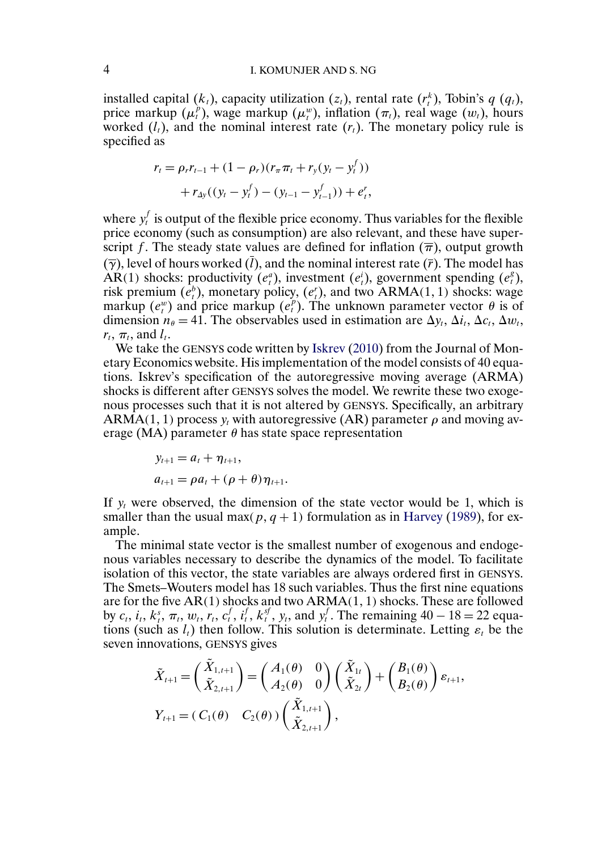### <span id="page-3-0"></span>4 I. KOMUNJER AND S. NG

installed capital  $(k_t)$ , capacity utilization  $(z_t)$ , rental rate  $(r_t^k)$ , Tobin's  $q(q_t)$ , price markup  $(\mu_t^p)$ , wage markup  $(\mu_t^w)$ , inflation  $(\pi_t)$ , real wage  $(w_t)$ , hours worked  $(l_t)$ , and the nominal interest rate  $(r_t)$ . The monetary policy rule is specified as

$$
r_{t} = \rho_{r} r_{t-1} + (1 - \rho_{r}) (r_{\pi} \pi_{t} + r_{y} (y_{t} - y_{t}^{f})) + r_{\Delta y} ((y_{t} - y_{t}^{f}) - (y_{t-1} - y_{t-1}^{f})) + e_{t}^{r},
$$

where  $y_t^f$  is output of the flexible price economy. Thus variables for the flexible price economy (such as consumption) are also relevant, and these have superscript f. The steady state values are defined for inflation  $(\overline{\pi})$ , output growth  $(\overline{\gamma})$ , level of hours worked  $(\overline{l})$ , and the nominal interest rate  $(\overline{r})$ . The model has AR(1) shocks: productivity  $(e_i^a)$ , investment  $(e_i^i)$ , government spending  $(e_i^g)$ , risk premium  $(e_t^b)$ , monetary policy,  $(e_t^r)$ , and two ARMA(1, 1) shocks: wage markup  $(e_i^w)$  and price markup  $(e_i^p)$ . The unknown parameter vector  $\theta$  is of dimension  $n_{\theta} = 41$ . The observables used in estimation are  $\Delta y_t$ ,  $\Delta i_t$ ,  $\Delta c_t$ ,  $\Delta w_t$ ,  $r_t$ ,  $\pi_t$ , and  $l_t$ .

We take the GENSYS code written by [Iskrev](#page-12-0) [\(2010\)](#page-12-0) from the Journal of Monetary Economics website. His implementation of the model consists of 40 equations. Iskrev's specification of the autoregressive moving average (ARMA) shocks is different after GENSYS solves the model. We rewrite these two exogenous processes such that it is not altered by GENSYS. Specifically, an arbitrary ARMA(1, 1) process  $y_t$  with autoregressive (AR) parameter  $\rho$  and moving average (MA) parameter  $\theta$  has state space representation

$$
y_{t+1} = a_t + \eta_{t+1},
$$
  
\n
$$
a_{t+1} = \rho a_t + (\rho + \theta) \eta_{t+1}.
$$

If  $y_t$  were observed, the dimension of the state vector would be 1, which is smaller than the usual max( $p, q + 1$ ) formulation as in [Harvey](#page-12-0) [\(1989\)](#page-12-0), for example.

The minimal state vector is the smallest number of exogenous and endogenous variables necessary to describe the dynamics of the model. To facilitate isolation of this vector, the state variables are always ordered first in GENSYS. The Smets–Wouters model has 18 such variables. Thus the first nine equations are for the five  $AR(1)$  shocks and two  $ARMA(1, 1)$  shocks. These are followed by  $c_t$ ,  $i_t$ ,  $k_t^s$ ,  $\pi_t$ ,  $w_t$ ,  $r_t$ ,  $c_t^f$ ,  $i_t^f$ ,  $k_t^s$ ,  $y_t$ , and  $y_t^f$ . The remaining  $40 - 18 = 22$  equations (such as  $l_t$ ) then follow. This solution is determinate. Letting  $\varepsilon_t$  be the seven innovations, GENSYS gives

$$
\tilde{X}_{t+1} = \begin{pmatrix} \tilde{X}_{1,t+1} \\ \tilde{X}_{2,t+1} \end{pmatrix} = \begin{pmatrix} A_1(\theta) & 0 \\ A_2(\theta) & 0 \end{pmatrix} \begin{pmatrix} \tilde{X}_{1t} \\ \tilde{X}_{2t} \end{pmatrix} + \begin{pmatrix} B_1(\theta) \\ B_2(\theta) \end{pmatrix} \varepsilon_{t+1},
$$
\n
$$
Y_{t+1} = (C_1(\theta) \quad C_2(\theta)) \begin{pmatrix} \tilde{X}_{1,t+1} \\ \tilde{X}_{2,t+1} \end{pmatrix},
$$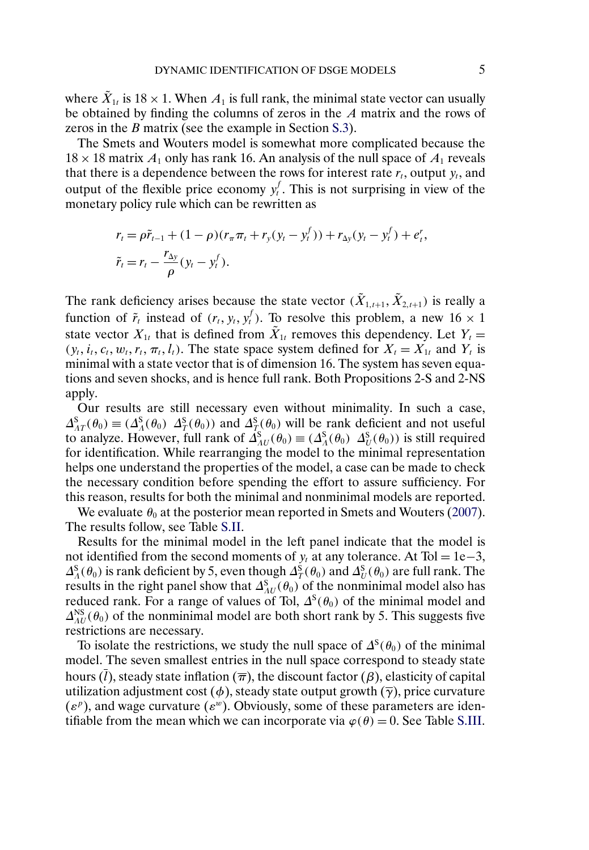<span id="page-4-0"></span>where  $\tilde{X}_{1t}$  is 18 × 1. When  $A_1$  is full rank, the minimal state vector can usually be obtained by finding the columns of zeros in the A matrix and the rows of zeros in the B matrix (see the example in Section [S.3\)](#page-6-0).

The Smets and Wouters model is somewhat more complicated because the  $18 \times 18$  matrix  $A_1$  only has rank 16. An analysis of the null space of  $A_1$  reveals that there is a dependence between the rows for interest rate  $r_t$ , output  $y_t$ , and output of the flexible price economy  $y_t^f$ . This is not surprising in view of the monetary policy rule which can be rewritten as

$$
r_{t} = \rho \tilde{r}_{t-1} + (1 - \rho)(r_{\pi} \pi_{t} + r_{y}(y_{t} - y_{t}^{f})) + r_{\Delta y}(y_{t} - y_{t}^{f}) + e_{t}^{r},
$$
  

$$
\tilde{r}_{t} = r_{t} - \frac{r_{\Delta y}}{\rho}(y_{t} - y_{t}^{f}).
$$

The rank deficiency arises because the state vector  $(\tilde{X}_{1,t+1}, \tilde{X}_{2,t+1})$  is really a function of  $\tilde{r}_t$  instead of  $(r_t, y_t, y_t^f)$ . To resolve this problem, a new 16  $\times$  1 state vector  $X_{1t}$  that is defined from  $\tilde{X}_{1t}$  removes this dependency. Let  $Y_t =$  $(y_t, i_t, c_t, w_t, r_t, \pi_t, l_t)$ . The state space system defined for  $X_t = X_{1t}$  and  $Y_t$  is minimal with a state vector that is of dimension 16. The system has seven equations and seven shocks, and is hence full rank. Both Propositions 2-S and 2-NS apply.

Our results are still necessary even without minimality. In such a case,  $\Delta_{AT}^S(\theta_0) \equiv (\Delta_A^S(\theta_0) \Delta_T^S(\theta_0))$  and  $\Delta_T^S(\theta_0)$  will be rank deficient and not useful to analyze. However, full rank of  $\Delta_{AU}^{S}(\theta_0) \equiv (\Delta_A^{S}(\theta_0) \ \Delta_U^{S}(\theta_0))$  is still required for identification. While rearranging the model to the minimal representation helps one understand the properties of the model, a case can be made to check the necessary condition before spending the effort to assure sufficiency. For this reason, results for both the minimal and nonminimal models are reported.

We evaluate  $\theta_0$  at the posterior mean reported in Smets and Wouters [\(2007\)](#page-12-0). The results follow, see Table [S.II.](#page-5-0)

Results for the minimal model in the left panel indicate that the model is not identified from the second moments of  $y_t$  at any tolerance. At Tol = 1e−3,  $\Delta_A^S(\theta_0)$  is rank deficient by 5, even though  $\Delta_T^S(\theta_0)$  and  $\Delta_U^S(\theta_0)$  are full rank. The results in the right panel show that  $\Delta_{AU}^{S}(\theta_0)$  of the nonminimal model also has reduced rank. For a range of values of Tol,  $\Delta^{s}(\theta_0)$  of the minimal model and  $\Delta_{AU}^{\text{NS}}(\theta_0)$  of the nonminimal model are both short rank by 5. This suggests five restrictions are necessary.

To isolate the restrictions, we study the null space of  $\Delta^S(\theta_0)$  of the minimal model. The seven smallest entries in the null space correspond to steady state hours (l), steady state inflation ( $\overline{\pi}$ ), the discount factor ( $\beta$ ), elasticity of capital utilization adjustment cost ( $\phi$ ), steady state output growth ( $\overline{\gamma}$ ), price curvature  $(\varepsilon^p)$ , and wage curvature  $(\varepsilon^w)$ . Obviously, some of these parameters are identifiable from the mean which we can incorporate via  $\varphi(\theta) = 0$ . See Table [S.III.](#page-5-0)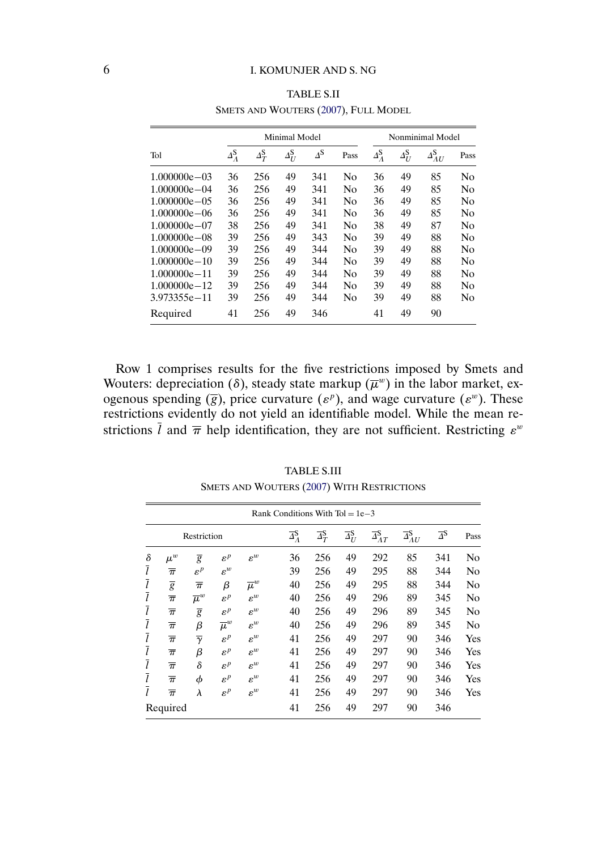<span id="page-5-0"></span>

|                  |                         |                         | Minimal Model      |                       | Nonminimal Model |                               |                    |                                |                |
|------------------|-------------------------|-------------------------|--------------------|-----------------------|------------------|-------------------------------|--------------------|--------------------------------|----------------|
| Tol              | $\Delta_A^{\mathbf{S}}$ | $\Delta_T^{\mathbf{S}}$ | $\Delta_U^{\rm S}$ | $\Delta$ <sup>S</sup> | Pass             | $\varDelta _{A}^{\mathbf{S}}$ | $\Delta_U^{\rm S}$ | $\Delta^{\rm S}_{\rm A}$<br>AU | Pass           |
| $1.000000e - 03$ | 36                      | 256                     | 49                 | 341                   | No               | 36                            | 49                 | 85                             | No             |
| $1.000000e - 04$ | 36                      | 256                     | 49                 | 341                   | N <sub>0</sub>   | 36                            | 49                 | 85                             | No             |
| $1.000000e - 05$ | 36                      | 256                     | 49                 | 341                   | N <sub>0</sub>   | 36                            | 49                 | 85                             | No             |
| $1.000000e - 06$ | 36                      | 256                     | 49                 | 341                   | N <sub>0</sub>   | 36                            | 49                 | 85                             | N <sub>0</sub> |
| $1.000000e - 07$ | 38                      | 256                     | 49                 | 341                   | N <sub>0</sub>   | 38                            | 49                 | 87                             | N <sub>0</sub> |
| $1.000000e - 08$ | 39                      | 256                     | 49                 | 343                   | No               | 39                            | 49                 | 88                             | N <sub>0</sub> |
| $1.000000e - 09$ | 39                      | 256                     | 49                 | 344                   | N <sub>0</sub>   | 39                            | 49                 | 88                             | No             |
| $1.000000e - 10$ | 39                      | 256                     | 49                 | 344                   | N <sub>0</sub>   | 39                            | 49                 | 88                             | No             |
| $1.000000e - 11$ | 39                      | 256                     | 49                 | 344                   | N <sub>0</sub>   | 39                            | 49                 | 88                             | No             |
| $1.000000e - 12$ | 39                      | 256                     | 49                 | 344                   | No               | 39                            | 49                 | 88                             | N <sub>0</sub> |
| 3.973355e-11     | 39                      | 256                     | 49                 | 344                   | No               | 39                            | 49                 | 88                             | No             |
| Required         | 41                      | 256                     | 49                 | 346                   |                  | 41                            | 49                 | 90                             |                |

TABLE S.II SMETS AND WOUTERS [\(2007\)](#page-12-0), FULL MODEL

Row 1 comprises results for the five restrictions imposed by Smets and Wouters: depreciation (δ), steady state markup  $(\overline{\mu}^w)$  in the labor market, exogenous spending  $(\overline{g})$ , price curvature  $(\varepsilon^p)$ , and wage curvature  $(\varepsilon^w)$ . These restrictions evidently do not yield an identifiable model. While the mean restrictions  $\overline{l}$  and  $\overline{\pi}$  help identification, they are not sufficient. Restricting  $\varepsilon^w$ 

|                |                  |                     |                    |                    | Rank Conditions With $Tol = 1e-3$ |                                    |                                    |                                  |                        |                                  |                |
|----------------|------------------|---------------------|--------------------|--------------------|-----------------------------------|------------------------------------|------------------------------------|----------------------------------|------------------------|----------------------------------|----------------|
|                |                  | Restriction         |                    |                    | $\overline{\Delta}_{A}^{\rm S}$   | $\overline{\Delta}_T^{\mathbf{S}}$ | $\overline{\Delta_U^{\mathbf{S}}}$ | $\overline{\Delta}_{AT}^{\rm S}$ | $\bar{A}^{\rm S}_{AU}$ | $\overline{\Delta}^{\mathbf{S}}$ | Pass           |
| $\delta$       | $\mu^w$          | $\overline{g}$      | $\varepsilon^p$    | $\varepsilon^w$    | 36                                | 256                                | 49                                 | 292                              | 85                     | 341                              | N <sub>0</sub> |
| $\overline{l}$ | $\overline{\pi}$ | $\varepsilon^p$     | $\varepsilon^w$    |                    | 39                                | 256                                | 49                                 | 295                              | 88                     | 344                              | N <sub>0</sub> |
| ī              | $\overline{g}$   | $\overline{\pi}$    | β                  | $\overline{\mu}^w$ | 40                                | 256                                | 49                                 | 295                              | 88                     | 344                              | N <sub>0</sub> |
| l              | $\overline{\pi}$ | $\overline{\mu}^w$  | $\varepsilon^p$    | $\varepsilon^w$    | 40                                | 256                                | 49                                 | 296                              | 89                     | 345                              | No             |
| l              | $\overline{\pi}$ | $\overline{g}$      | $\varepsilon^p$    | $\varepsilon^w$    | 40                                | 256                                | 49                                 | 296                              | 89                     | 345                              | N <sub>0</sub> |
| l              | $\overline{\pi}$ | β                   | $\overline{\mu}^w$ | $\varepsilon^w$    | 40                                | 256                                | 49                                 | 296                              | 89                     | 345                              | N <sub>0</sub> |
| ī              | $\overline{\pi}$ | $\overline{\gamma}$ | $\varepsilon^p$    | $\varepsilon^w$    | 41                                | 256                                | 49                                 | 297                              | 90                     | 346                              | Yes            |
| $\overline{l}$ | $\overline{\pi}$ | β                   | $\varepsilon^p$    | $\varepsilon^w$    | 41                                | 256                                | 49                                 | 297                              | 90                     | 346                              | Yes            |
| ī              | $\overline{\pi}$ | $\delta$            | $\varepsilon^p$    | $\varepsilon^w$    | 41                                | 256                                | 49                                 | 297                              | 90                     | 346                              | Yes            |
| l              | $\overline{\pi}$ | φ                   | $\varepsilon^p$    | $\varepsilon^w$    | 41                                | 256                                | 49                                 | 297                              | 90                     | 346                              | Yes            |
| l              | $\overline{\pi}$ | $\lambda$           | $\varepsilon^p$    | $\varepsilon^w$    | 41                                | 256                                | 49                                 | 297                              | 90                     | 346                              | Yes            |
|                | Required         |                     |                    |                    | 41                                | 256                                | 49                                 | 297                              | 90                     | 346                              |                |

TABLE S.III SMETS AND WOUTERS [\(2007\)](#page-12-0) WITH RESTRICTIONS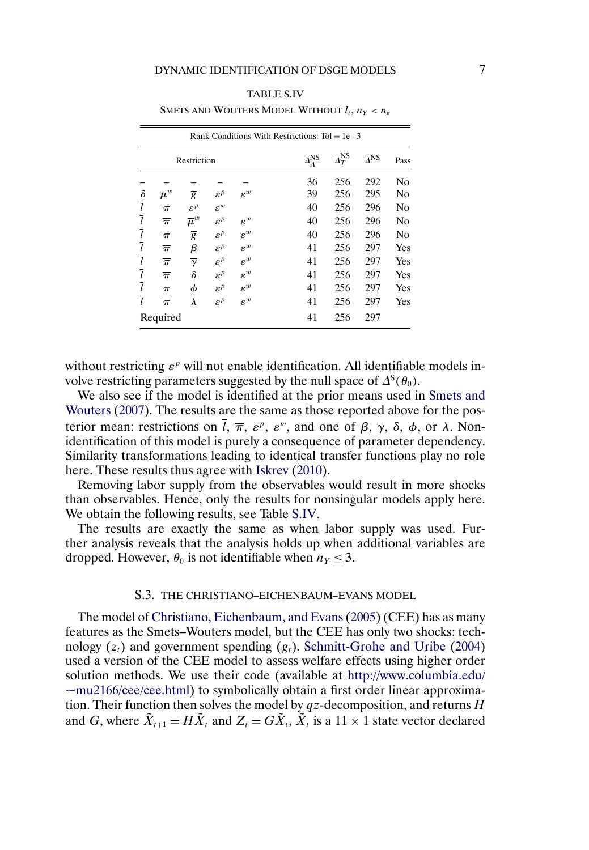| TABLE S.IV |  |
|------------|--|
|------------|--|

<span id="page-6-0"></span>

|                | Rank Conditions With Restrictions: $Tol = 1e-3$ |                     |                 |                 |                                |                                   |                        |      |  |  |
|----------------|-------------------------------------------------|---------------------|-----------------|-----------------|--------------------------------|-----------------------------------|------------------------|------|--|--|
|                |                                                 | Restriction         |                 |                 | $\overline{\Delta}^{\rm NS}_A$ | $\overline{\Delta}^{\text{NS}}_T$ | $\overline{\Delta}$ NS | Pass |  |  |
|                |                                                 |                     |                 |                 | 36                             | 256                               | 292                    | No   |  |  |
| $\delta$       | $\overline{\mu}^w$                              | $\overline{g}$      | $\varepsilon^p$ | $\varepsilon^w$ | 39                             | 256                               | 295                    | No   |  |  |
| $\overline{l}$ | $\overline{\pi}$                                | $\varepsilon^p$     | $\varepsilon^w$ |                 | 40                             | 256                               | 296                    | No   |  |  |
| 7              | $\overline{\pi}$                                | $\overline{\mu}^w$  | $\varepsilon^p$ | $\varepsilon^w$ | 40                             | 256                               | 296                    | No   |  |  |
| 7              | $\overline{\pi}$                                | $\overline{g}$      | $\varepsilon^p$ | $\varepsilon^w$ | 40                             | 256                               | 296                    | No   |  |  |
| 7              | $\overline{\pi}$                                | β                   | $\varepsilon^p$ | $\varepsilon^w$ | 41                             | 256                               | 297                    | Yes  |  |  |
| $\iota$        | $\overline{\pi}$                                | $\overline{\gamma}$ | $\varepsilon^p$ | $\varepsilon^w$ | 41                             | 256                               | 297                    | Yes  |  |  |
| 7              | $\overline{\pi}$                                | δ                   | $\varepsilon^p$ | $\varepsilon^w$ | 41                             | 256                               | 297                    | Yes  |  |  |
| 7              | $\overline{\pi}$                                | φ                   | $\varepsilon^p$ | $\varepsilon^w$ | 41                             | 256                               | 297                    | Yes  |  |  |
| Ī              | $\overline{\pi}$                                | λ                   | $\varepsilon^p$ | $\varepsilon^w$ | 41                             | 256                               | 297                    | Yes  |  |  |
|                | Required                                        |                     |                 |                 | 41                             | 256                               | 297                    |      |  |  |

SMETS AND WOUTERS MODEL WITHOUT  $l_t$ ,  $n_Y < n_{\varepsilon}$ 

without restricting  $\varepsilon^p$  will not enable identification. All identifiable models involve restricting parameters suggested by the null space of  $\Delta^{S}(\theta_0)$ .

We also see if the model is identified at the prior means used in [Smets and](#page-12-0) [Wouters](#page-12-0) [\(2007\)](#page-12-0). The results are the same as those reported above for the posterior mean: restrictions on  $\overline{l}$ ,  $\overline{\pi}$ ,  $\varepsilon^p$ ,  $\varepsilon^w$ , and one of  $\beta$ ,  $\overline{\gamma}$ ,  $\delta$ ,  $\phi$ , or  $\lambda$ . Nonidentification of this model is purely a consequence of parameter dependency. Similarity transformations leading to identical transfer functions play no role here. These results thus agree with [Iskrev](#page-12-0) [\(2010\)](#page-12-0).

Removing labor supply from the observables would result in more shocks than observables. Hence, only the results for nonsingular models apply here. We obtain the following results, see Table S.IV.

The results are exactly the same as when labor supply was used. Further analysis reveals that the analysis holds up when additional variables are dropped. However,  $\theta_0$  is not identifiable when  $n_Y \leq 3$ .

#### S.3. THE CHRISTIANO–EICHENBAUM–EVANS MODEL

The model of [Christiano, Eichenbaum, and Evans](#page-12-0) [\(2005\)](#page-12-0) (CEE) has as many features as the Smets–Wouters model, but the CEE has only two shocks: technology  $(z_t)$  and government spending  $(g_t)$ . [Schmitt-Grohe and Uribe](#page-12-0) [\(2004\)](#page-12-0) used a version of the CEE model to assess welfare effects using higher order solution methods. We use their code (available at [http://www.columbia.edu/](http://www.columbia.edu/~mu2166/cee/cee.html)  $-\mu$ 2166/cee/cee.html) to symbolically obtain a first order linear approximation. Their function then solves the model by  $qz$ -decomposition, and returns  $H$ and G, where  $\tilde{X}_{t+1} = H\tilde{X}_t$  and  $Z_t = G\tilde{X}_t$ ,  $\tilde{X}_t$  is a 11  $\times$  1 state vector declared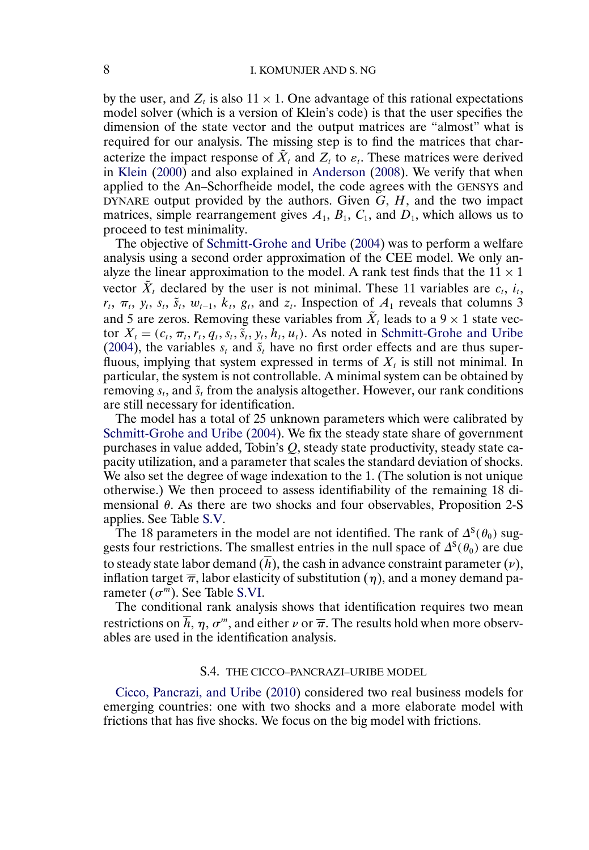<span id="page-7-0"></span>by the user, and  $Z_t$  is also  $11 \times 1$ . One advantage of this rational expectations model solver (which is a version of Klein's code) is that the user specifies the dimension of the state vector and the output matrices are "almost" what is required for our analysis. The missing step is to find the matrices that characterize the impact response of  $\tilde{X}_t$  and  $Z_t$  to  $\varepsilon_t$ . These matrices were derived in [Klein](#page-12-0) [\(2000\)](#page-12-0) and also explained in [Anderson](#page-12-0) [\(2008\)](#page-12-0). We verify that when applied to the An–Schorfheide model, the code agrees with the GENSYS and DYNARE output provided by the authors. Given  $G, H$ , and the two impact matrices, simple rearrangement gives  $A_1$ ,  $B_1$ ,  $C_1$ , and  $D_1$ , which allows us to proceed to test minimality.

The objective of [Schmitt-Grohe and Uribe](#page-12-0) [\(2004\)](#page-12-0) was to perform a welfare analysis using a second order approximation of the CEE model. We only analyze the linear approximation to the model. A rank test finds that the  $11 \times 1$ vector  $\tilde{X}_t$  declared by the user is not minimal. These 11 variables are  $c_t$ ,  $i_t$ ,  $r_t$ ,  $\pi_t$ ,  $y_t$ ,  $s_t$ ,  $\tilde{s}_t$ ,  $w_{t-1}$ ,  $k_t$ ,  $g_t$ , and  $z_t$ . Inspection of  $A_1$  reveals that columns 3 and 5 are zeros. Removing these variables from  $\tilde{X}_t$  leads to a  $9 \times 1$  state vector  $X_t = (c_t, \pi_t, r_t, q_t, s_t, \tilde{s}_t, y_t, h_t, u_t)$ . As noted in [Schmitt-Grohe and Uribe](#page-12-0) [\(2004\)](#page-12-0), the variables  $s_t$  and  $\tilde{s}_t$  have no first order effects and are thus superfluous, implying that system expressed in terms of  $X_t$  is still not minimal. In particular, the system is not controllable. A minimal system can be obtained by removing  $s_t$ , and  $\tilde{s}_t$  from the analysis altogether. However, our rank conditions are still necessary for identification.

The model has a total of 25 unknown parameters which were calibrated by [Schmitt-Grohe and Uribe](#page-12-0) [\(2004\)](#page-12-0). We fix the steady state share of government purchases in value added, Tobin's Q, steady state productivity, steady state capacity utilization, and a parameter that scales the standard deviation of shocks. We also set the degree of wage indexation to the 1. (The solution is not unique otherwise.) We then proceed to assess identifiability of the remaining 18 dimensional  $\theta$ . As there are two shocks and four observables, Proposition 2-S applies. See Table [S.V.](#page-8-0)

The 18 parameters in the model are not identified. The rank of  $\Delta^{S}(\theta_0)$  suggests four restrictions. The smallest entries in the null space of  $\Delta^{S}(\theta_0)$  are due to steady state labor demand  $(h)$ , the cash in advance constraint parameter  $(v)$ , inflation target  $\overline{\pi}$ , labor elasticity of substitution ( $\eta$ ), and a money demand parameter  $(\sigma^m)$ . See Table [S.VI.](#page-8-0)

The conditional rank analysis shows that identification requires two mean restrictions on h,  $\eta$ ,  $\sigma^m$ , and either  $\nu$  or  $\overline{\pi}$ . The results hold when more observables are used in the identification analysis.

#### S.4. THE CICCO–PANCRAZI–URIBE MODEL

[Cicco, Pancrazi, and Uribe](#page-12-0) [\(2010\)](#page-12-0) considered two real business models for emerging countries: one with two shocks and a more elaborate model with frictions that has five shocks. We focus on the big model with frictions.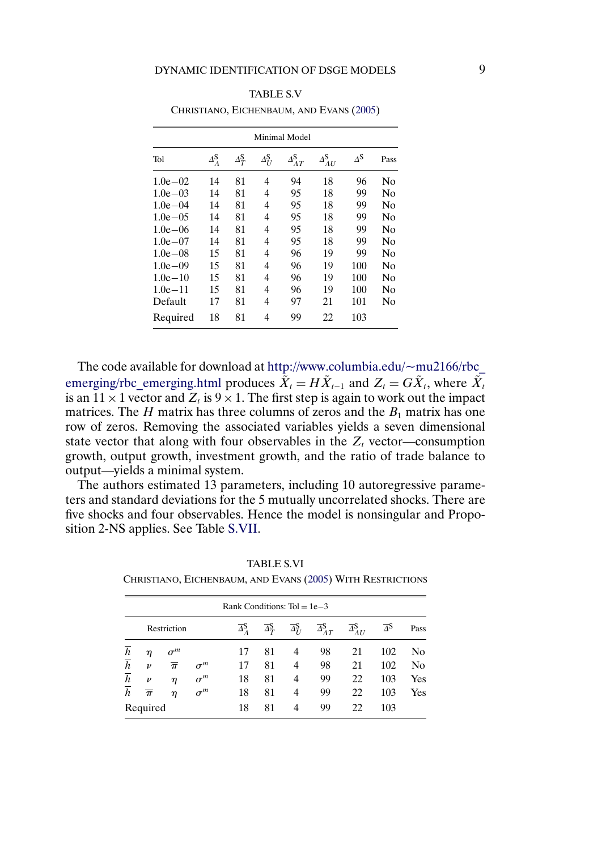| Minimal Model |                    |                         |                    |                             |                               |            |      |  |  |  |
|---------------|--------------------|-------------------------|--------------------|-----------------------------|-------------------------------|------------|------|--|--|--|
| Tol           | $\Delta_A^{\rm S}$ | $\Delta_T^{\mathbf{S}}$ | $\Delta_U^{\rm S}$ | $\varDelta_{AT}^\mathrm{S}$ | $\varDelta_{AU}^{\mathbf{S}}$ | $\Delta$ S | Pass |  |  |  |
| $1.0e - 0.2$  | 14                 | 81                      | 4                  | 94                          | 18                            | 96         | No   |  |  |  |
| $1.0e - 03$   | 14                 | 81                      | 4                  | 95                          | 18                            | 99         | No   |  |  |  |
| $1.0e - 04$   | 14                 | 81                      | 4                  | 95                          | 18                            | 99         | No   |  |  |  |
| $1.0e - 0.5$  | 14                 | 81                      | 4                  | 95                          | 18                            | 99         | No   |  |  |  |
| $1.0e - 06$   | 14                 | 81                      | 4                  | 95                          | 18                            | 99         | No   |  |  |  |
| $1.0e - 07$   | 14                 | 81                      | 4                  | 95                          | 18                            | 99         | No   |  |  |  |
| $1.0e - 0.8$  | 15                 | 81                      | 4                  | 96                          | 19                            | 99         | No   |  |  |  |
| $1.0e - 09$   | 15                 | 81                      | 4                  | 96                          | 19                            | 100        | No   |  |  |  |
| $1.0e - 10$   | 15                 | 81                      | 4                  | 96                          | 19                            | 100        | No   |  |  |  |
| $1.0e-11$     | 15                 | 81                      | 4                  | 96                          | 19                            | 100        | No   |  |  |  |
| Default       | 17                 | 81                      | 4                  | 97                          | 21                            | 101        | No   |  |  |  |
| Required      | 18                 | 81                      | 4                  | 99                          | 22                            | 103        |      |  |  |  |

<span id="page-8-0"></span>TABLE S.V CHRISTIANO, EICHENBAUM, AND EVANS [\(2005\)](#page-12-0)

The code available for download at http://www.columbia.edu/ $\sim$ mu2166/rbc [emerging/rbc\\_emerging.html](http://www.columbia.edu/~mu2166/rbc_emerging/rbc_emerging.html) produces  $\tilde{X}_t = H\tilde{X}_{t-1}$  and  $Z_t = G\tilde{X}_t$ , where  $\tilde{X}_t$ is an  $11 \times 1$  vector and  $Z_t$  is  $9 \times 1$ . The first step is again to work out the impact matrices. The H matrix has three columns of zeros and the  $B_1$  matrix has one row of zeros. Removing the associated variables yields a seven dimensional state vector that along with four observables in the  $Z_t$  vector—consumption growth, output growth, investment growth, and the ratio of trade balance to output—yields a minimal system.

The authors estimated 13 parameters, including 10 autoregressive parameters and standard deviations for the 5 mutually uncorrelated shocks. There are five shocks and four observables. Hence the model is nonsingular and Proposition 2-NS applies. See Table [S.VII.](#page-9-0)

|                | Rank Conditions: $Tol = 1e-3$ |                  |            |                                      |                                    |                                       |                                       |                                       |                         |      |
|----------------|-------------------------------|------------------|------------|--------------------------------------|------------------------------------|---------------------------------------|---------------------------------------|---------------------------------------|-------------------------|------|
|                |                               | Restriction      |            | $\overline{\Delta}{}_{2}^{\text{S}}$ | $\overline{\Delta}_T^{\mathbf{S}}$ | $\overline{\Delta}^{\mathsf{S}}_{II}$ | $\overline{\Delta}^{\mathbf{S}}_{AT}$ | $\overline{\Delta}_{AU}^{\mathbf{S}}$ | $\overline{\Delta}{}^S$ | Pass |
| $\overline{h}$ | η                             | $\sigma^m$       |            | 17                                   | 81                                 | 4                                     | 98                                    | 21                                    | 102                     | No   |
| $\overline{h}$ | $\boldsymbol{\nu}$            | $\overline{\pi}$ | $\sigma^m$ | 17                                   | 81                                 | 4                                     | 98                                    | 21                                    | 102                     | No   |
| $\overline{h}$ | $\boldsymbol{\nu}$            | η                | $\sigma^m$ | 18                                   | 81                                 | 4                                     | 99                                    | 22                                    | 103                     | Yes  |
| $\overline{h}$ | $\overline{\pi}$              | η                | $\sigma^m$ | 18                                   | 81                                 | 4                                     | 99                                    | 22                                    | 103                     | Yes  |
|                | Required                      |                  |            | 18                                   | 81                                 | 4                                     | 99                                    | 22                                    | 103                     |      |

TABLE S.VI CHRISTIANO, EICHENBAUM, AND EVANS [\(2005\)](#page-12-0) WITH RESTRICTIONS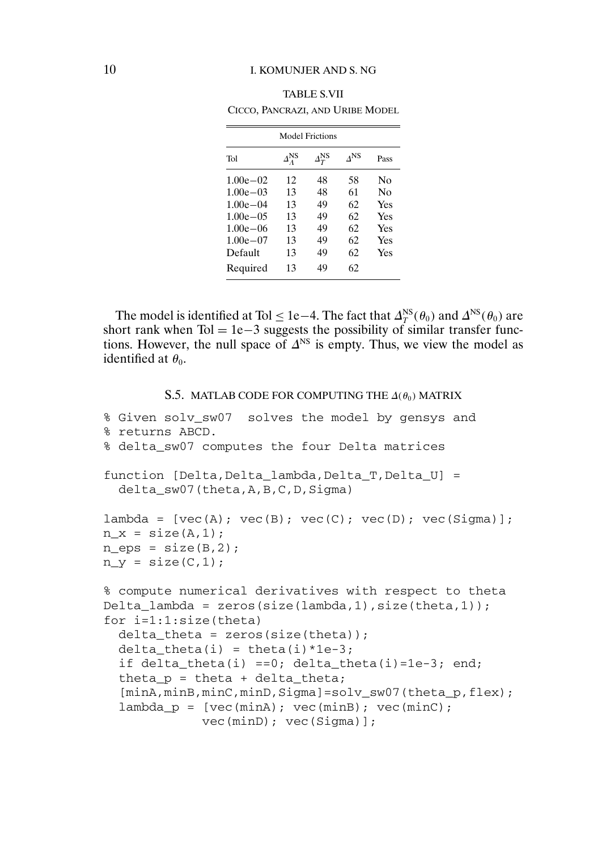# <span id="page-9-0"></span>10 I. KOMUNJER AND S. NG

| CICCO, PANCRAZI, AND URIBE MODEL |                     |                        |     |                |  |  |  |  |  |  |
|----------------------------------|---------------------|------------------------|-----|----------------|--|--|--|--|--|--|
| <b>Model Frictions</b>           |                     |                        |     |                |  |  |  |  |  |  |
| Tol                              | $\Delta^{\rm NS}_A$ | $\varDelta_T^{\rm NS}$ | ĄNS | Pass           |  |  |  |  |  |  |
| $1.00e - 02$                     | 12                  | 48                     | 58  | N <sub>0</sub> |  |  |  |  |  |  |
| $1.00e - 03$                     | 13                  | 48                     | 61  | Nο             |  |  |  |  |  |  |
| $1.00e - 04$                     | 13                  | 49                     | 62  | Yes            |  |  |  |  |  |  |
| $1.00e - 0.5$                    | 13                  | 49                     | 62. | Yes            |  |  |  |  |  |  |
| $1.00e - 06$                     | 13                  | 49                     | 62  | Yes            |  |  |  |  |  |  |
| $1.00e - 07$                     | 13                  | 49                     | 62. | Yes            |  |  |  |  |  |  |
| Default                          | 13                  | 49                     | 62  | Yes            |  |  |  |  |  |  |
| Required                         | 13                  | 49                     | 62  |                |  |  |  |  |  |  |

TABLE S.VII

The model is identified at Tol  $\leq$  1e–4. The fact that  $\Delta_T^{\text{NS}}(\theta_0)$  and  $\Delta^{\text{NS}}(\theta_0)$  are short rank when Tol = 1e-3 suggests the possibility of similar transfer functions. However, the null space of  $\Delta^{NS}$  is empty. Thus, we view the model as identified at  $\theta_0$ .

#### S.5. MATLAB CODE FOR COMPUTING THE  $\Delta(\theta_0)$  MATRIX

```
% Given solv_sw07 solves the model by gensys and
% returns ABCD.
% delta_sw07 computes the four Delta matrices
function [Delta,Delta_lambda,Delta_T,Delta_U] =
  delta_sw07(theta, A, B, C, D, Sigma)
lambda = [vec(A); vec(B); vec(C); vec(D); vec(Sigma)];n x = size(A,1);n_{\text{eps}} = \text{size}(B, 2);
n_y = size(C, 1);
% compute numerical derivatives with respect to theta
Delta<sub>1</sub>ambda = zeros(size(lambda,1),size(theta,1));
for i=1:1:size(theta)
  delta<sub>theta</sub> = zeros(size(theta));
  delta theta(i) = theta(i)*1e-3;
  if delta_theta(i) ==0; delta_theta(i)=1e-3; end;
  thetap = theta + delta_theta;
  [minA,minB,minC,minD,Sigma]=solv_sw07(theta_p,flex);
  lambda_p = [vec(minA); vec(minB); vec(minC);vec(minD); vec(Sigma)];
```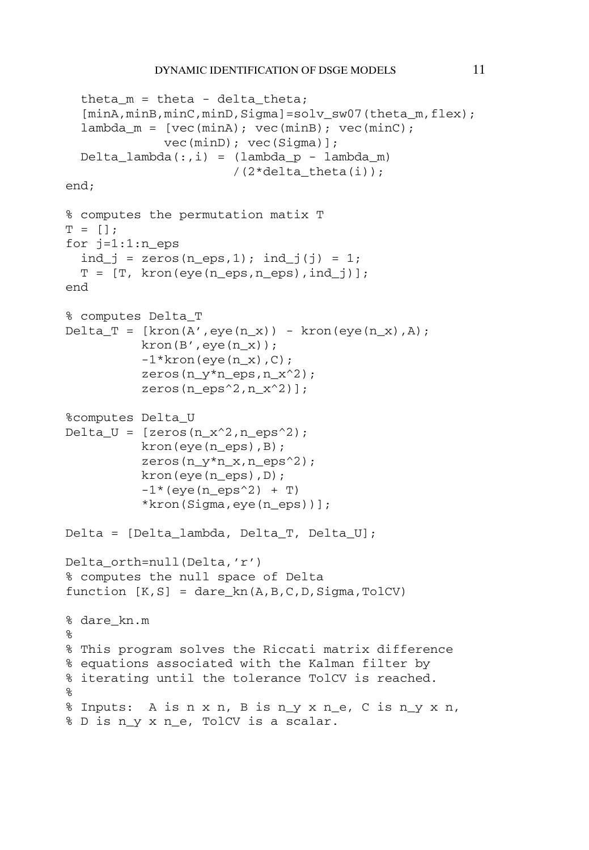```
theta m = theta - delta theta;
  [minA,minB,minC,minD,Sigma]=solv_sw07(theta_m,flex);
  lambda_m = [vec(mina); vec(minB); vec(minc);vec(minD); vec(Sigma)];
  Delta_i;,i) = lambda_p - lambda_m)
                       /(2*delta_theta(i));
end;
% computes the permutation matix T
T = [];
for j=1:1:n_eeps
  ind_j = zeros(n_eps, 1); ind_j(j) = 1;
  T = [T, kron(eye(n_eps, n_eps), ind_j)];
end
% computes Delta_T
Delta_T = [\text{kron}(A', \text{eye}(n_x)) - \text{kron}( \text{eye}(n_x), A);kron(B',eye(n_x));
          -1*kron(eye(n_x),C);zeros(n_y*n_eps,n_x^2);zeros(n_eps^2,n_x^2)];
%computes Delta_U
Delta_U = [zeros(n_x^2, n_eps^2);kron(eye(n_eps),B);
          zeros(n_y*n_x,n_eps^2);kron(eye(n_eps),D);
          -1*(eye(n_eps^2) + T)*kron(Sigma,eye(n_eps))];
Delta = [Delta_lambda, Delta_T, Delta_U];
Delta orth=null(Delta,'r')
% computes the null space of Delta
function [K,S] = \text{dare } kn(A,B,C,D,Sigma,TolCV)% dare_kn.m
%
% This program solves the Riccati matrix difference
% equations associated with the Kalman filter by
% iterating until the tolerance TolCV is reached.
%
% Inputs: A is n x n, B is n_y x n_e, C is n_y x n,
% D is n_y x n_e, TolCV is a scalar.
```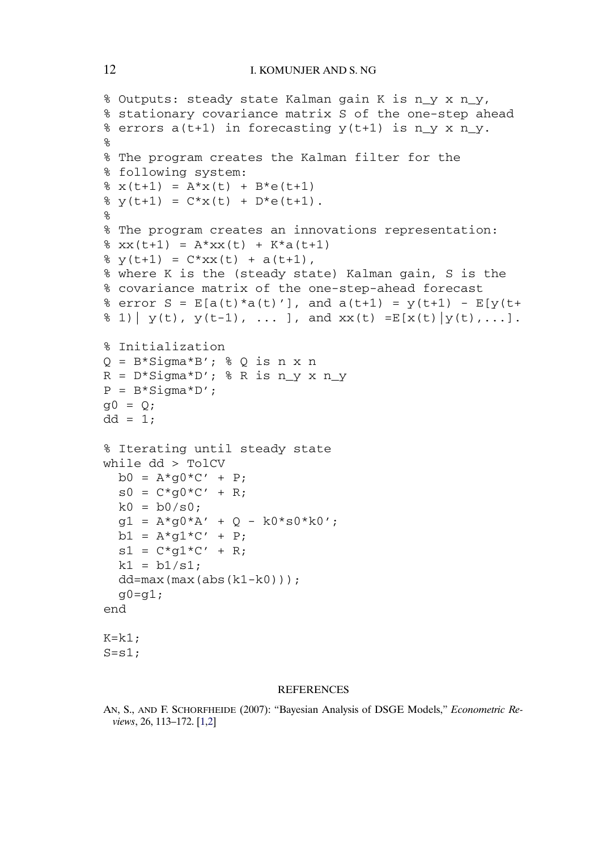```
% Outputs: steady state Kalman gain K is n_y x n_y,
% stationary covariance matrix S of the one-step ahead
% errors a(t+1) in forecasting y(t+1) is n_y x n_y.
\approx% The program creates the Kalman filter for the
% following system:
\text{g } x(t+1) = A^*x(t) + B^*e(t+1)\text{Y}(t+1) = C^*x(t) + D^*e(t+1).
\kappa% The program creates an innovations representation:
% xx(t+1) = A*xx(t) + K* a(t+1)\frac{1}{2} y(t+1) = C*xx(t) + a(t+1),
% where K is the (steady state) Kalman gain, S is the
% covariance matrix of the one-step-ahead forecast
% error S = E[a(t)*a(t)'], and a(t+1) = y(t+1) - E[y(t+1)]\frac{1}{2} (b), y(t-1), ... ], and xx(t) = E[x(t)|y(t),...].% Initialization
Q = B*Sigma*B'; % Q is n x nR = D*Sigma*D'; R is n y x n y
P = B * Sigma * D';
q0 = Q;dd = 1;% Iterating until steady state
while dd > TolCV
  b0 = A * q0 * C' + P;
  s0 = C * q0 * C' + R;
  k0 = b0/s0;g1 = A*g0*A' + Q - k0*s0*k0';b1 = A*q1*C' + P;s1 = C*g1*C' + R;k1 = b1/s1;dd = max(max(abs(k1-k0)));
  g0 = g1;end
K=k1;
S=s1;
```
#### REFERENCES

AN, S., AND F. SCHORFHEIDE (2007): "Bayesian Analysis of DSGE Models," *Econometric Reviews*, 26, 113–172. [\[1,2\]](#page-0-0)